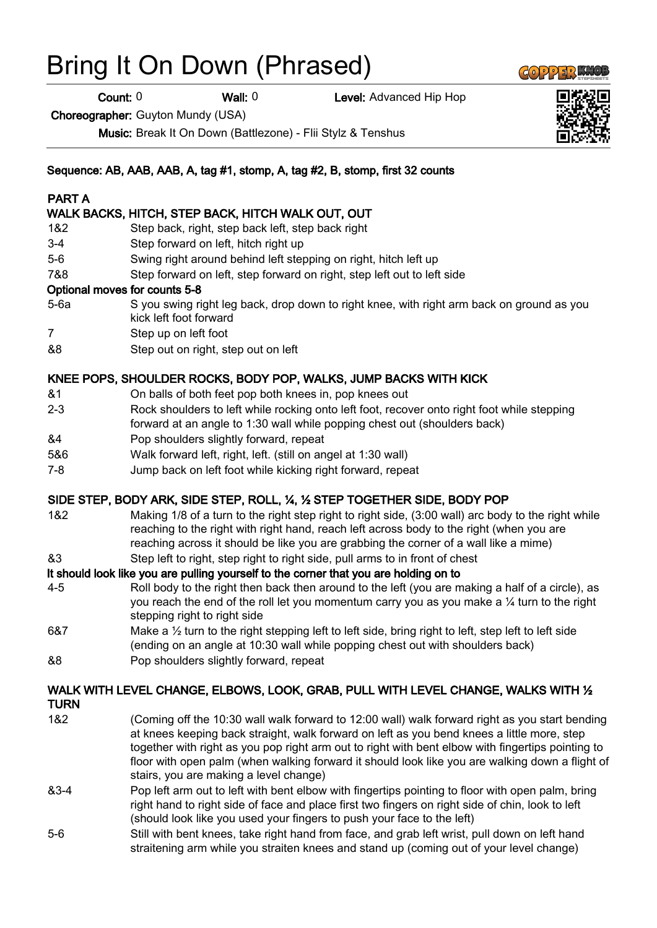# Bring It On Down (Phrased)

Count: 0 Wall: 0 Level: Advanced Hip Hop

Choreographer: Guyton Mundy (USA)

Music: Break It On Down (Battlezone) - Flii Stylz & Tenshus

## Sequence: AB, AAB, AAB, A, tag #1, stomp, A, tag #2, B, stomp, first 32 counts

## PART A

# WALK BACKS, HITCH, STEP BACK, HITCH WALK OUT, OUT

- 1&2 Step back, right, step back left, step back right
- 3-4 Step forward on left, hitch right up
- 5-6 Swing right around behind left stepping on right, hitch left up
- 7&8 Step forward on left, step forward on right, step left out to left side

#### Optional moves for counts 5-8

- 5-6a S you swing right leg back, drop down to right knee, with right arm back on ground as you kick left foot forward
- 7 Step up on left foot
- &8 Step out on right, step out on left

## KNEE POPS, SHOULDER ROCKS, BODY POP, WALKS, JUMP BACKS WITH KICK

- &1 On balls of both feet pop both knees in, pop knees out
- 2-3 Rock shoulders to left while rocking onto left foot, recover onto right foot while stepping forward at an angle to 1:30 wall while popping chest out (shoulders back)
- &4 Pop shoulders slightly forward, repeat
- 5&6 Walk forward left, right, left. (still on angel at 1:30 wall)
- 7-8 Jump back on left foot while kicking right forward, repeat

## SIDE STEP, BODY ARK, SIDE STEP, ROLL, ¼, ½ STEP TOGETHER SIDE, BODY POP

1&2 Making 1/8 of a turn to the right step right to right side, (3:00 wall) arc body to the right while reaching to the right with right hand, reach left across body to the right (when you are reaching across it should be like you are grabbing the corner of a wall like a mime)

&3 Step left to right, step right to right side, pull arms to in front of chest

# It should look like you are pulling yourself to the corner that you are holding on to

- 4-5 Roll body to the right then back then around to the left (you are making a half of a circle), as you reach the end of the roll let you momentum carry you as you make a ¼ turn to the right stepping right to right side
- 6&7 Make a  $\frac{1}{2}$  turn to the right stepping left to left side, bring right to left, step left to left side (ending on an angle at 10:30 wall while popping chest out with shoulders back) &8 Pop shoulders slightly forward, repeat

# WALK WITH LEVEL CHANGE, ELBOWS, LOOK, GRAB, PULL WITH LEVEL CHANGE, WALKS WITH 1/2

- **TURN**
- 1&2 (Coming off the 10:30 wall walk forward to 12:00 wall) walk forward right as you start bending at knees keeping back straight, walk forward on left as you bend knees a little more, step together with right as you pop right arm out to right with bent elbow with fingertips pointing to floor with open palm (when walking forward it should look like you are walking down a flight of stairs, you are making a level change)
- &3-4 Pop left arm out to left with bent elbow with fingertips pointing to floor with open palm, bring right hand to right side of face and place first two fingers on right side of chin, look to left (should look like you used your fingers to push your face to the left)
- 5-6 Still with bent knees, take right hand from face, and grab left wrist, pull down on left hand straitening arm while you straiten knees and stand up (coming out of your level change)



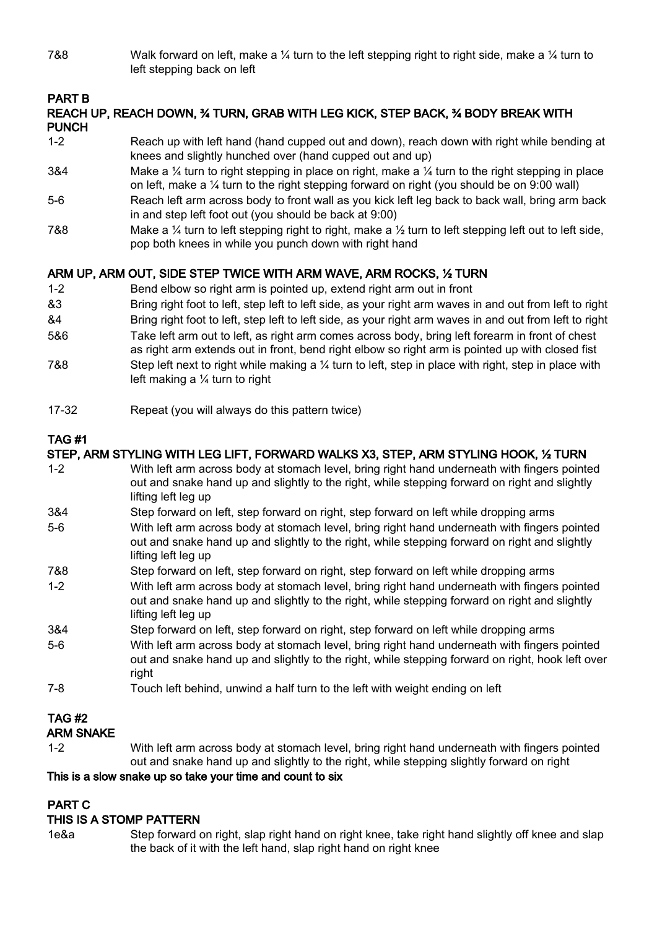7&8 Walk forward on left, make a  $\frac{1}{4}$  turn to the left stepping right to right side, make a  $\frac{1}{4}$  turn to left stepping back on left

# PART B

## REACH UP, REACH DOWN, ¾ TURN, GRAB WITH LEG KICK, STEP BACK, ¾ BODY BREAK WITH PUNCH

- 1-2 Reach up with left hand (hand cupped out and down), reach down with right while bending at knees and slightly hunched over (hand cupped out and up)
- 3&4 Make a ¼ turn to right stepping in place on right, make a ¼ turn to the right stepping in place on left, make a ¼ turn to the right stepping forward on right (you should be on 9:00 wall)
- 5-6 Reach left arm across body to front wall as you kick left leg back to back wall, bring arm back in and step left foot out (you should be back at 9:00)
- 7&8 Make a 1/4 turn to left stepping right to right, make a 1/2 turn to left stepping left out to left side, pop both knees in while you punch down with right hand

# ARM UP, ARM OUT, SIDE STEP TWICE WITH ARM WAVE, ARM ROCKS, ½ TURN

- 1-2 Bend elbow so right arm is pointed up, extend right arm out in front
- &3 Bring right foot to left, step left to left side, as your right arm waves in and out from left to right
- &4 Bring right foot to left, step left to left side, as your right arm waves in and out from left to right
- 5&6 Take left arm out to left, as right arm comes across body, bring left forearm in front of chest
- as right arm extends out in front, bend right elbow so right arm is pointed up with closed fist 7&8 Step left next to right while making a ¼ turn to left, step in place with right, step in place with left making a ¼ turn to right
- 17-32 Repeat (you will always do this pattern twice)

# TAG #1

# STEP, ARM STYLING WITH LEG LIFT, FORWARD WALKS X3, STEP, ARM STYLING HOOK, ½ TURN

- 1-2 With left arm across body at stomach level, bring right hand underneath with fingers pointed out and snake hand up and slightly to the right, while stepping forward on right and slightly lifting left leg up
- 3&4 Step forward on left, step forward on right, step forward on left while dropping arms
- 5-6 With left arm across body at stomach level, bring right hand underneath with fingers pointed out and snake hand up and slightly to the right, while stepping forward on right and slightly lifting left leg up
- 7&8 Step forward on left, step forward on right, step forward on left while dropping arms
- 1-2 With left arm across body at stomach level, bring right hand underneath with fingers pointed out and snake hand up and slightly to the right, while stepping forward on right and slightly lifting left leg up
- 3&4 Step forward on left, step forward on right, step forward on left while dropping arms
- 5-6 With left arm across body at stomach level, bring right hand underneath with fingers pointed out and snake hand up and slightly to the right, while stepping forward on right, hook left over right
- 7-8 Touch left behind, unwind a half turn to the left with weight ending on left

# TAG #2

# ARM SNAKE

1-2 With left arm across body at stomach level, bring right hand underneath with fingers pointed out and snake hand up and slightly to the right, while stepping slightly forward on right

# This is a slow snake up so take your time and count to six

# PART C

# THIS IS A STOMP PATTERN

1e&a Step forward on right, slap right hand on right knee, take right hand slightly off knee and slap the back of it with the left hand, slap right hand on right knee